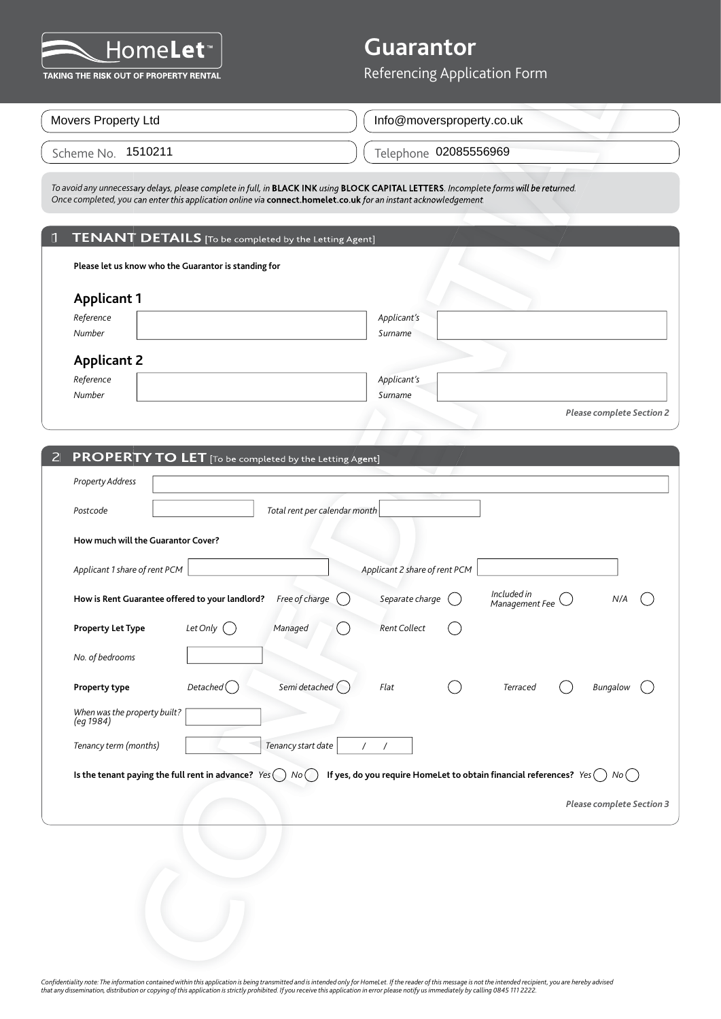

#### 1 **TENANT DETAILS** [To be completed by the Letting Agent]

|                                                      | To avoid any unnecessary delays, please complete in full, in <b>BLACK INK</b> using <b>BLOCK CAPITAL LETTERS</b> . Incomplete forms will be returned.<br>Once completed, you can enter this application online via connect.homelet.co.uk for an instant acknowledgement. |             |  |                                  |
|------------------------------------------------------|--------------------------------------------------------------------------------------------------------------------------------------------------------------------------------------------------------------------------------------------------------------------------|-------------|--|----------------------------------|
|                                                      |                                                                                                                                                                                                                                                                          |             |  |                                  |
|                                                      | 1 TENANT DETAILS [To be completed by the Letting Agent]                                                                                                                                                                                                                  |             |  |                                  |
| Please let us know who the Guarantor is standing for |                                                                                                                                                                                                                                                                          |             |  |                                  |
| <b>Applicant 1</b>                                   |                                                                                                                                                                                                                                                                          |             |  |                                  |
| Reference                                            |                                                                                                                                                                                                                                                                          | Applicant's |  |                                  |
| <b>Number</b>                                        |                                                                                                                                                                                                                                                                          | Surname     |  |                                  |
| <b>Applicant 2</b>                                   |                                                                                                                                                                                                                                                                          |             |  |                                  |
| Reference                                            |                                                                                                                                                                                                                                                                          | Applicant's |  |                                  |
| <b>Number</b>                                        |                                                                                                                                                                                                                                                                          | Surname     |  |                                  |
|                                                      |                                                                                                                                                                                                                                                                          |             |  | <b>Please complete Section 2</b> |

| <u>IUIILES</u><br>AKING THE RISK OUT OF PROPERTY RENTAL                                                                                                                                                                                                   | Referencing Application Form                                                |
|-----------------------------------------------------------------------------------------------------------------------------------------------------------------------------------------------------------------------------------------------------------|-----------------------------------------------------------------------------|
|                                                                                                                                                                                                                                                           |                                                                             |
| Movers Property Ltd                                                                                                                                                                                                                                       | Info@moversproperty.co.uk                                                   |
| Scheme No. 1510211                                                                                                                                                                                                                                        | Telephone 02085556969                                                       |
| To avoid any unnecessary delays, please complete in full, in BLACK INK using BLOCK CAPITAL LETTERS. Incomplete forms will be returned.<br>Once completed, you can enter this application online via connect.homelet.co.uk for an instant acknowledgement. |                                                                             |
| TENANT DETAILS [To be completed by the Letting Agent]                                                                                                                                                                                                     |                                                                             |
| Please let us know who the Guarantor is standing for                                                                                                                                                                                                      |                                                                             |
| <b>Applicant 1</b><br>Reference<br>Number                                                                                                                                                                                                                 | Applicant's<br>Surname                                                      |
| <b>Applicant 2</b>                                                                                                                                                                                                                                        |                                                                             |
| Reference<br>Number                                                                                                                                                                                                                                       | Applicant's<br>Surname                                                      |
|                                                                                                                                                                                                                                                           | <b>Please complete Section 2</b>                                            |
| <b>PROPERTY TO LET</b> [To be completed by the Letting Agent]<br>$\overline{2}$                                                                                                                                                                           |                                                                             |
| <b>Property Address</b>                                                                                                                                                                                                                                   |                                                                             |
| Total rent per calendar month<br>Postcode                                                                                                                                                                                                                 |                                                                             |
| How much will the Guarantor Cover?                                                                                                                                                                                                                        |                                                                             |
| Applicant 1 share of rent PCM                                                                                                                                                                                                                             | Applicant 2 share of rent PCM                                               |
| How is Rent Guarantee offered to your landlord? Free of charge                                                                                                                                                                                            | Included in<br>Separate charge<br>N/A<br>Management Fee (                   |
| Let Only $\bigcap$<br><b>Property Let Type</b><br>Managed                                                                                                                                                                                                 | <b>Rent Collect</b><br>- 1                                                  |
| No. of bedrooms                                                                                                                                                                                                                                           |                                                                             |
| Semi detached $\bigcap$<br>Detached()<br>Property type                                                                                                                                                                                                    | Flat<br>Terraced<br>Bungalow                                                |
| When was the property built?<br>(eg 1984)                                                                                                                                                                                                                 |                                                                             |
| Tenancy start date<br>Tenancy term (months)                                                                                                                                                                                                               | /<br>$\overline{1}$                                                         |
| Is the tenant paying the full rent in advance? $Yes() No()$                                                                                                                                                                                               | If yes, do you require HomeLet to obtain financial references? $Yes() No()$ |
|                                                                                                                                                                                                                                                           | <b>Please complete Section 3</b>                                            |
|                                                                                                                                                                                                                                                           |                                                                             |
|                                                                                                                                                                                                                                                           |                                                                             |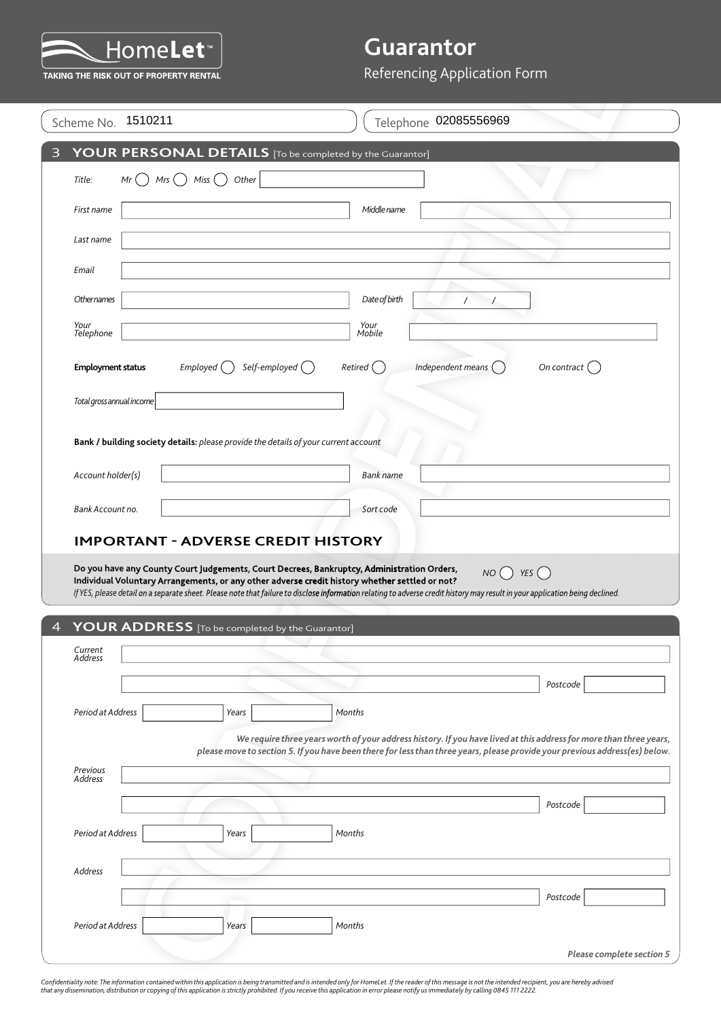

|                           |                                                                                                                                                                                                                                                                                                                                                                               | Referencing Application Form                                                                                                   |
|---------------------------|-------------------------------------------------------------------------------------------------------------------------------------------------------------------------------------------------------------------------------------------------------------------------------------------------------------------------------------------------------------------------------|--------------------------------------------------------------------------------------------------------------------------------|
| 1510211<br>Scheme No.     |                                                                                                                                                                                                                                                                                                                                                                               | Telephone 02085556969                                                                                                          |
|                           | YOUR PERSONAL DETAILS [To be completed by the Guarantor]                                                                                                                                                                                                                                                                                                                      |                                                                                                                                |
| Title:<br>Mr              | Mrs $\bigcap$ Miss $\bigcap$<br>Other                                                                                                                                                                                                                                                                                                                                         |                                                                                                                                |
| First name                | Middle name                                                                                                                                                                                                                                                                                                                                                                   |                                                                                                                                |
|                           |                                                                                                                                                                                                                                                                                                                                                                               |                                                                                                                                |
| Last name                 |                                                                                                                                                                                                                                                                                                                                                                               |                                                                                                                                |
| Email                     |                                                                                                                                                                                                                                                                                                                                                                               |                                                                                                                                |
| Othernames                | Date of birth                                                                                                                                                                                                                                                                                                                                                                 | $\prime$                                                                                                                       |
| Your<br>Telephone         | Your<br>Mobile                                                                                                                                                                                                                                                                                                                                                                |                                                                                                                                |
| <b>Employment status</b>  | Self-employed $\bigcirc$<br>Emploved()<br>Retired (                                                                                                                                                                                                                                                                                                                           | Independent means $(\ )$<br>On contract $\binom{ }{ }$                                                                         |
| Total gross annual income |                                                                                                                                                                                                                                                                                                                                                                               |                                                                                                                                |
|                           |                                                                                                                                                                                                                                                                                                                                                                               |                                                                                                                                |
|                           | Bank / building society details: please provide the details of your current account                                                                                                                                                                                                                                                                                           |                                                                                                                                |
| Account holder(s)         | <b>Bank name</b>                                                                                                                                                                                                                                                                                                                                                              |                                                                                                                                |
|                           |                                                                                                                                                                                                                                                                                                                                                                               |                                                                                                                                |
| Bank Account no.          | Sort code                                                                                                                                                                                                                                                                                                                                                                     |                                                                                                                                |
|                           | <b>IMPORTANT - ADVERSE CREDIT HISTORY</b>                                                                                                                                                                                                                                                                                                                                     |                                                                                                                                |
|                           | Do you have any County Court Judgements, Court Decrees, Bankruptcy, Administration Orders,<br>Individual Voluntary Arrangements, or any other adverse credit history whether settled or not?<br>If YES, please detail on a separate sheet. Please note that failure to disclose information relating to adverse credit history may result in your application being declined. | YES $($<br>NO( )                                                                                                               |
|                           | YOUR ADDRESS [To be completed by the Guarantor]                                                                                                                                                                                                                                                                                                                               |                                                                                                                                |
| Current<br>Address        |                                                                                                                                                                                                                                                                                                                                                                               |                                                                                                                                |
|                           |                                                                                                                                                                                                                                                                                                                                                                               | Postcode                                                                                                                       |
| Period at Address         | Months<br>Years                                                                                                                                                                                                                                                                                                                                                               |                                                                                                                                |
|                           |                                                                                                                                                                                                                                                                                                                                                                               |                                                                                                                                |
| Previous                  | please move to section 5. If you have been there for less than three years, please provide your previous address(es) below.                                                                                                                                                                                                                                                   |                                                                                                                                |
| Address                   |                                                                                                                                                                                                                                                                                                                                                                               |                                                                                                                                |
|                           |                                                                                                                                                                                                                                                                                                                                                                               | Postcode                                                                                                                       |
| Period at Address         | Months<br>Years                                                                                                                                                                                                                                                                                                                                                               |                                                                                                                                |
| <b>Address</b>            |                                                                                                                                                                                                                                                                                                                                                                               |                                                                                                                                |
|                           |                                                                                                                                                                                                                                                                                                                                                                               | We require three years worth of your address history. If you have lived at this address for more than three years,<br>Postcode |
| Period at Address         | Years<br>Months                                                                                                                                                                                                                                                                                                                                                               |                                                                                                                                |

Confidentiality note: The information contained within this application is being transmitted and is intended only for HomeLet. If the reader of this message is not the intended recipient, you are hereby advised<br>that any di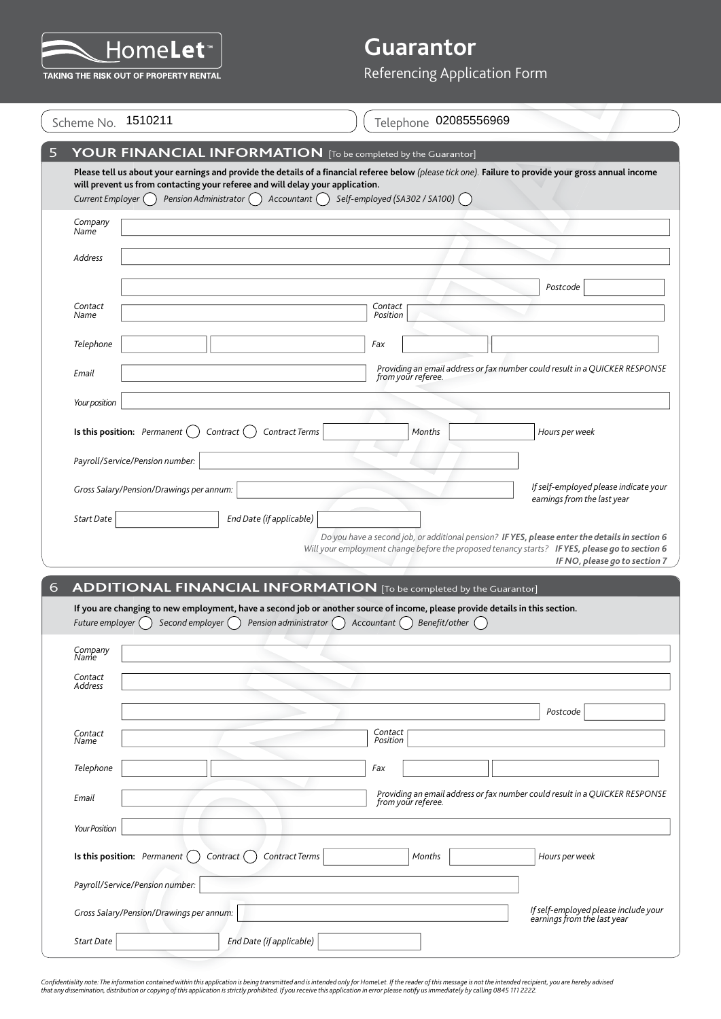

|                     | TAKING THE RISK OUT OF PROPERTY RENTAL   |                                                                                                                                                                                                             |                                         | Referencing Application Form |                                                                                                                                                                                                                                   |
|---------------------|------------------------------------------|-------------------------------------------------------------------------------------------------------------------------------------------------------------------------------------------------------------|-----------------------------------------|------------------------------|-----------------------------------------------------------------------------------------------------------------------------------------------------------------------------------------------------------------------------------|
|                     |                                          |                                                                                                                                                                                                             |                                         |                              |                                                                                                                                                                                                                                   |
|                     | Scheme No. 1510211                       |                                                                                                                                                                                                             |                                         | Telephone 02085556969        |                                                                                                                                                                                                                                   |
|                     |                                          | YOUR FINANCIAL INFORMATION [To be completed by the Guarantor]                                                                                                                                               |                                         |                              |                                                                                                                                                                                                                                   |
|                     |                                          |                                                                                                                                                                                                             |                                         |                              | Please tell us about your earnings and provide the details of a financial referee below (please tick one). Failure to provide your gross annual income                                                                            |
| Current Employer () |                                          | will prevent us from contacting your referee and will delay your application.<br>Pension Administrator () Accountant ()                                                                                     | Self-employed (SA302 / SA100) $\bigcap$ |                              |                                                                                                                                                                                                                                   |
| Company             |                                          |                                                                                                                                                                                                             |                                         |                              |                                                                                                                                                                                                                                   |
| Name                |                                          |                                                                                                                                                                                                             |                                         |                              |                                                                                                                                                                                                                                   |
| Address             |                                          |                                                                                                                                                                                                             |                                         |                              |                                                                                                                                                                                                                                   |
|                     |                                          |                                                                                                                                                                                                             |                                         |                              | Postcode                                                                                                                                                                                                                          |
| Contact<br>Name     |                                          |                                                                                                                                                                                                             | Contact<br>Position                     |                              |                                                                                                                                                                                                                                   |
| Telephone           |                                          |                                                                                                                                                                                                             | Fax                                     |                              |                                                                                                                                                                                                                                   |
| Email               |                                          |                                                                                                                                                                                                             |                                         | from your referee.           | Providing an email address or fax number could result in a QUICKER RESPONSE                                                                                                                                                       |
| Your position       |                                          |                                                                                                                                                                                                             |                                         |                              |                                                                                                                                                                                                                                   |
|                     |                                          |                                                                                                                                                                                                             |                                         |                              |                                                                                                                                                                                                                                   |
|                     | Is this position: Permanent (            | Contract Terms<br>Contract (                                                                                                                                                                                |                                         | Months                       | Hours per week                                                                                                                                                                                                                    |
|                     | Payroll/Service/Pension number:          |                                                                                                                                                                                                             |                                         |                              |                                                                                                                                                                                                                                   |
|                     | Gross Salary/Pension/Drawings per annum: |                                                                                                                                                                                                             |                                         |                              | If self-employed please indicate your<br>earnings from the last year                                                                                                                                                              |
|                     |                                          |                                                                                                                                                                                                             |                                         |                              |                                                                                                                                                                                                                                   |
|                     |                                          |                                                                                                                                                                                                             |                                         |                              |                                                                                                                                                                                                                                   |
| Start Date          |                                          | End Date (if applicable)                                                                                                                                                                                    |                                         |                              |                                                                                                                                                                                                                                   |
|                     |                                          |                                                                                                                                                                                                             |                                         |                              |                                                                                                                                                                                                                                   |
|                     |                                          |                                                                                                                                                                                                             |                                         |                              | Do you have a second job, or additional pension? IF YES, please enter the details in section 6<br>Will your employment change before the proposed tenancy starts? IF YES, please go to section 6<br>IF NO, please go to section 7 |
|                     |                                          | <b>ADDITIONAL FINANCIAL INFORMATION</b> [To be completed by the Guarantor]<br>If you are changing to new employment, have a second job or another source of income, please provide details in this section. |                                         |                              |                                                                                                                                                                                                                                   |
| Future employer (   | Second employer $( )$                    | Pension administrator $\bigcap$ Accountant $\bigcap$                                                                                                                                                        |                                         | Benefit/other $\bigcap$      |                                                                                                                                                                                                                                   |
| Company<br>Name     |                                          |                                                                                                                                                                                                             |                                         |                              |                                                                                                                                                                                                                                   |
| Contact             |                                          |                                                                                                                                                                                                             |                                         |                              |                                                                                                                                                                                                                                   |
| Address             |                                          |                                                                                                                                                                                                             |                                         |                              |                                                                                                                                                                                                                                   |
|                     |                                          |                                                                                                                                                                                                             | Contact                                 |                              | Postcode                                                                                                                                                                                                                          |
| Contact<br>Name     |                                          |                                                                                                                                                                                                             | Position                                |                              |                                                                                                                                                                                                                                   |
| Telephone           |                                          |                                                                                                                                                                                                             | Fax                                     |                              |                                                                                                                                                                                                                                   |
| Email               |                                          |                                                                                                                                                                                                             |                                         | from your referee.           | Providing an email address or fax number could result in a QUICKER RESPONSE                                                                                                                                                       |
| Your Position       |                                          |                                                                                                                                                                                                             |                                         |                              |                                                                                                                                                                                                                                   |
|                     |                                          |                                                                                                                                                                                                             |                                         |                              |                                                                                                                                                                                                                                   |
|                     | Is this position: Permanent $($          | Contract Terms<br>Contract ()                                                                                                                                                                               |                                         | Months                       | Hours per week                                                                                                                                                                                                                    |
|                     | Payroll/Service/Pension number:          |                                                                                                                                                                                                             |                                         |                              |                                                                                                                                                                                                                                   |
|                     | Gross Salary/Pension/Drawings per annum: |                                                                                                                                                                                                             |                                         |                              | If self-employed please include your<br>earnings from the last year                                                                                                                                                               |

Confidentiality note: The information contained within this application is being transmitted and is intended only for HomeLet. If the reader of this message is not the intended recipient, you are hereby advised<br>that any di